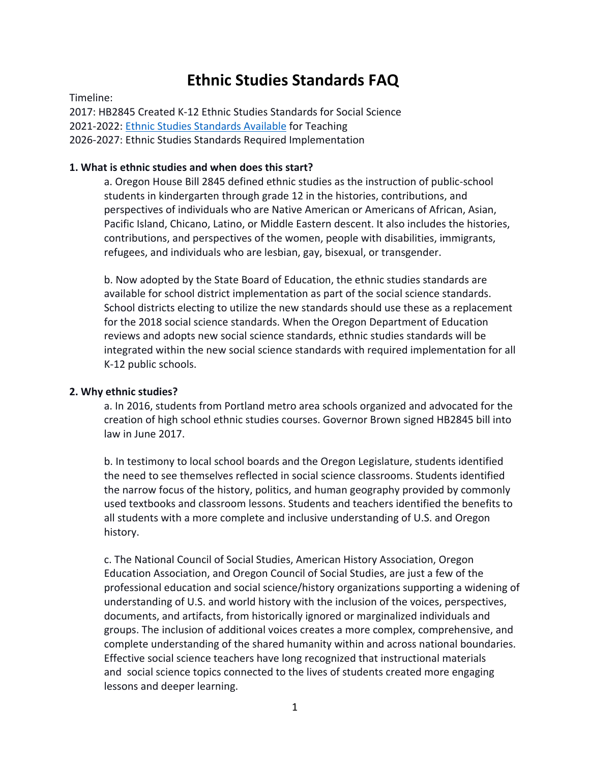# **Ethnic Studies Standards FAQ**

Timeline:

2017: HB2845 Created K-12 Ethnic Studies Standards for Social Science 2021-2022: [Ethnic Studies Standards Available](https://www.oregon.gov/ode/educator-resources/standards/socialsciences/Documents/2021%20Social%20Science%20Standards%20Integrated%20with%20Ethnic%20Studies.pdf) for Teaching 2026-2027: Ethnic Studies Standards Required Implementation

# **1. What is ethnic studies and when does this start?**

a. Oregon House Bill 2845 defined ethnic studies as the instruction of public-school students in kindergarten through grade 12 in the histories, contributions, and perspectives of individuals who are Native American or Americans of African, Asian, Pacific Island, Chicano, Latino, or Middle Eastern descent. It also includes the histories, contributions, and perspectives of the women, people with disabilities, immigrants, refugees, and individuals who are lesbian, gay, bisexual, or transgender.

b. Now adopted by the State Board of Education, the ethnic studies standards are available for school district implementation as part of the social science standards. School districts electing to utilize the new standards should use these as a replacement for the 2018 social science standards. When the Oregon Department of Education reviews and adopts new social science standards, ethnic studies standards will be integrated within the new social science standards with required implementation for all K-12 public schools.

# **2. Why ethnic studies?**

a. In 2016, students from Portland metro area schools organized and advocated for the creation of high school ethnic studies courses. Governor Brown signed HB2845 bill into law in June 2017.

b. In testimony to local school boards and the Oregon Legislature, students identified the need to see themselves reflected in social science classrooms. Students identified the narrow focus of the history, politics, and human geography provided by commonly used textbooks and classroom lessons. Students and teachers identified the benefits to all students with a more complete and inclusive understanding of U.S. and Oregon history.

c. The National Council of Social Studies, American History Association, Oregon Education Association, and Oregon Council of Social Studies, are just a few of the professional education and social science/history organizations supporting a widening of understanding of U.S. and world history with the inclusion of the voices, perspectives, documents, and artifacts, from historically ignored or marginalized individuals and groups. The inclusion of additional voices creates a more complex, comprehensive, and complete understanding of the shared humanity within and across national boundaries. Effective social science teachers have long recognized that instructional materials and social science topics connected to the lives of students created more engaging lessons and deeper learning.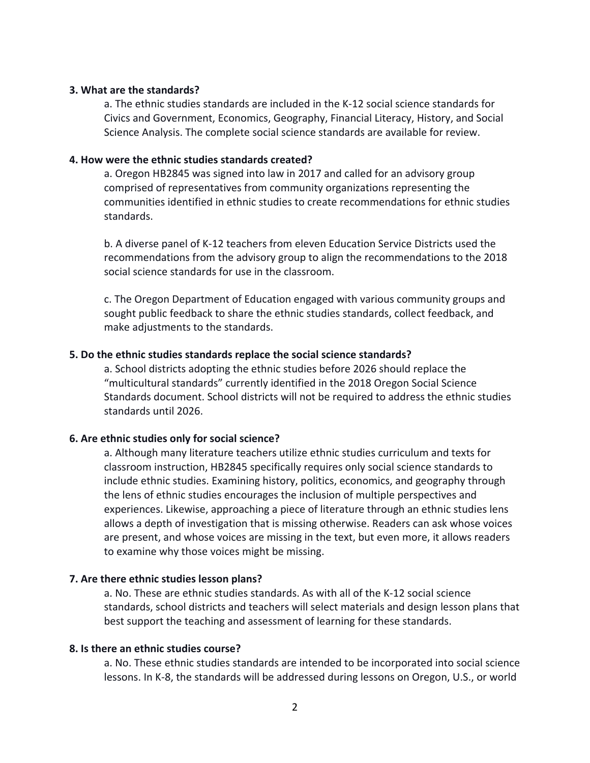# **3. What are the standards?**

a. The ethnic studies standards are included in the K-12 social science standards for Civics and Government, Economics, Geography, Financial Literacy, History, and Social Science Analysis. The complete social science standards are available for review.

## **4. How were the ethnic studies standards created?**

a. Oregon HB2845 was signed into law in 2017 and called for an advisory group comprised of representatives from community organizations representing the communities identified in ethnic studies to create recommendations for ethnic studies standards.

b. A diverse panel of K-12 teachers from eleven Education Service Districts used the recommendations from the advisory group to align the recommendations to the 2018 social science standards for use in the classroom.

c. The Oregon Department of Education engaged with various community groups and sought public feedback to share the ethnic studies standards, collect feedback, and make adjustments to the standards.

## **5. Do the ethnic studies standards replace the social science standards?**

a. School districts adopting the ethnic studies before 2026 should replace the "multicultural standards" currently identified in the 2018 Oregon Social Science Standards document. School districts will not be required to address the ethnic studies standards until 2026.

#### **6. Are ethnic studies only for social science?**

a. Although many literature teachers utilize ethnic studies curriculum and texts for classroom instruction, HB2845 specifically requires only social science standards to include ethnic studies. Examining history, politics, economics, and geography through the lens of ethnic studies encourages the inclusion of multiple perspectives and experiences. Likewise, approaching a piece of literature through an ethnic studies lens allows a depth of investigation that is missing otherwise. Readers can ask whose voices are present, and whose voices are missing in the text, but even more, it allows readers to examine why those voices might be missing.

## **7. Are there ethnic studies lesson plans?**

a. No. These are ethnic studies standards. As with all of the K-12 social science standards, school districts and teachers will select materials and design lesson plans that best support the teaching and assessment of learning for these standards.

## **8. Is there an ethnic studies course?**

a. No. These ethnic studies standards are intended to be incorporated into social science lessons. In K-8, the standards will be addressed during lessons on Oregon, U.S., or world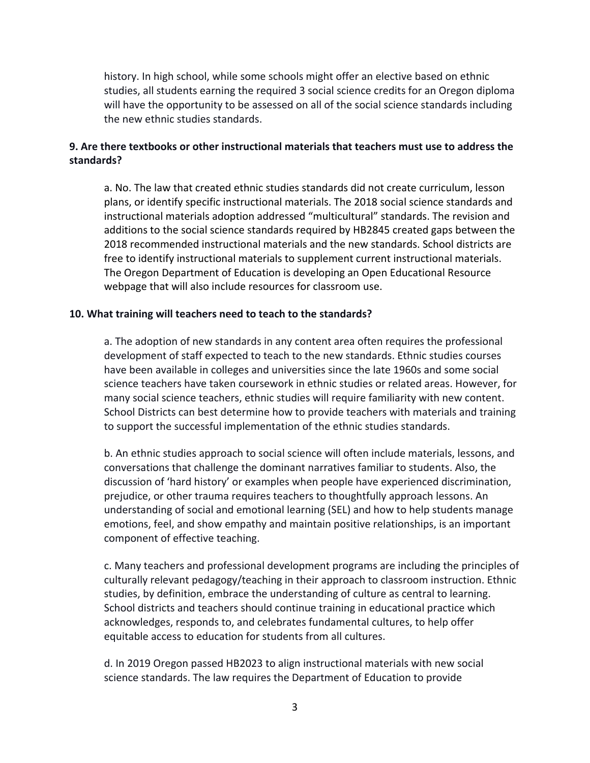history. In high school, while some schools might offer an elective based on ethnic studies, all students earning the required 3 social science credits for an Oregon diploma will have the opportunity to be assessed on all of the social science standards including the new ethnic studies standards.

# **9. Are there textbooks or other instructional materials that teachers must use to address the standards?**

a. No. The law that created ethnic studies standards did not create curriculum, lesson plans, or identify specific instructional materials. The 2018 social science standards and instructional materials adoption addressed "multicultural" standards. The revision and additions to the social science standards required by HB2845 created gaps between the 2018 recommended instructional materials and the new standards. School districts are free to identify instructional materials to supplement current instructional materials. The Oregon Department of Education is developing an Open Educational Resource webpage that will also include resources for classroom use.

# **10. What training will teachers need to teach to the standards?**

a. The adoption of new standards in any content area often requires the professional development of staff expected to teach to the new standards. Ethnic studies courses have been available in colleges and universities since the late 1960s and some social science teachers have taken coursework in ethnic studies or related areas. However, for many social science teachers, ethnic studies will require familiarity with new content. School Districts can best determine how to provide teachers with materials and training to support the successful implementation of the ethnic studies standards.

b. An ethnic studies approach to social science will often include materials, lessons, and conversations that challenge the dominant narratives familiar to students. Also, the discussion of 'hard history' or examples when people have experienced discrimination, prejudice, or other trauma requires teachers to thoughtfully approach lessons. An understanding of social and emotional learning (SEL) and how to help students manage emotions, feel, and show empathy and maintain positive relationships, is an important component of effective teaching.

c. Many teachers and professional development programs are including the principles of culturally relevant pedagogy/teaching in their approach to classroom instruction. Ethnic studies, by definition, embrace the understanding of culture as central to learning. School districts and teachers should continue training in educational practice which acknowledges, responds to, and celebrates fundamental cultures, to help offer equitable access to education for students from all cultures.

d. In 2019 Oregon passed HB2023 to align instructional materials with new social science standards. The law requires the Department of Education to provide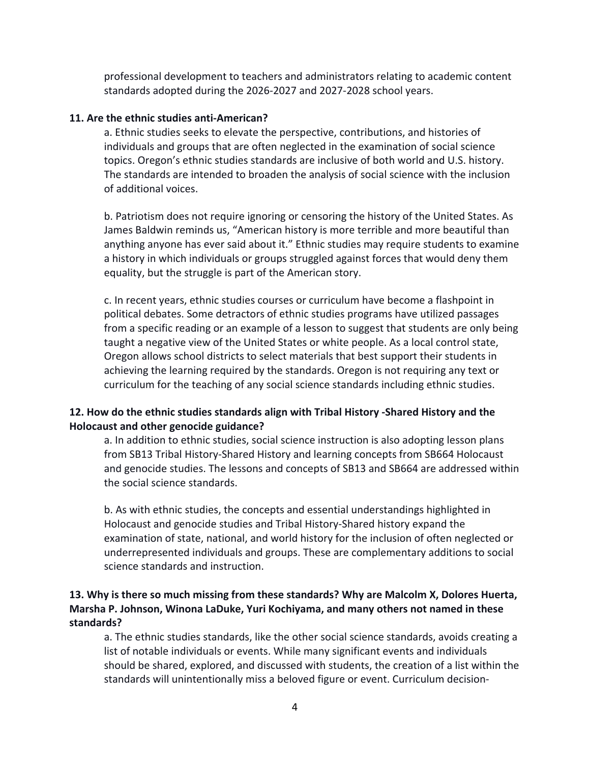professional development to teachers and administrators relating to academic content standards adopted during the 2026-2027 and 2027-2028 school years.

# **11. Are the ethnic studies anti-American?**

a. Ethnic studies seeks to elevate the perspective, contributions, and histories of individuals and groups that are often neglected in the examination of social science topics. Oregon's ethnic studies standards are inclusive of both world and U.S. history. The standards are intended to broaden the analysis of social science with the inclusion of additional voices.

b. Patriotism does not require ignoring or censoring the history of the United States. As James Baldwin reminds us, "American history is more terrible and more beautiful than anything anyone has ever said about it." Ethnic studies may require students to examine a history in which individuals or groups struggled against forces that would deny them equality, but the struggle is part of the American story.

c. In recent years, ethnic studies courses or curriculum have become a flashpoint in political debates. Some detractors of ethnic studies programs have utilized passages from a specific reading or an example of a lesson to suggest that students are only being taught a negative view of the United States or white people. As a local control state, Oregon allows school districts to select materials that best support their students in achieving the learning required by the standards. Oregon is not requiring any text or curriculum for the teaching of any social science standards including ethnic studies.

# **12. How do the ethnic studies standards align with Tribal History -Shared History and the Holocaust and other genocide guidance?**

a. In addition to ethnic studies, social science instruction is also adopting lesson plans from SB13 Tribal History-Shared History and learning concepts from SB664 Holocaust and genocide studies. The lessons and concepts of SB13 and SB664 are addressed within the social science standards.

b. As with ethnic studies, the concepts and essential understandings highlighted in Holocaust and genocide studies and Tribal History-Shared history expand the examination of state, national, and world history for the inclusion of often neglected or underrepresented individuals and groups. These are complementary additions to social science standards and instruction.

# **13. Why is there so much missing from these standards? Why are Malcolm X, Dolores Huerta, Marsha P. Johnson, Winona LaDuke, Yuri Kochiyama, and many others not named in these standards?**

a. The ethnic studies standards, like the other social science standards, avoids creating a list of notable individuals or events. While many significant events and individuals should be shared, explored, and discussed with students, the creation of a list within the standards will unintentionally miss a beloved figure or event. Curriculum decision